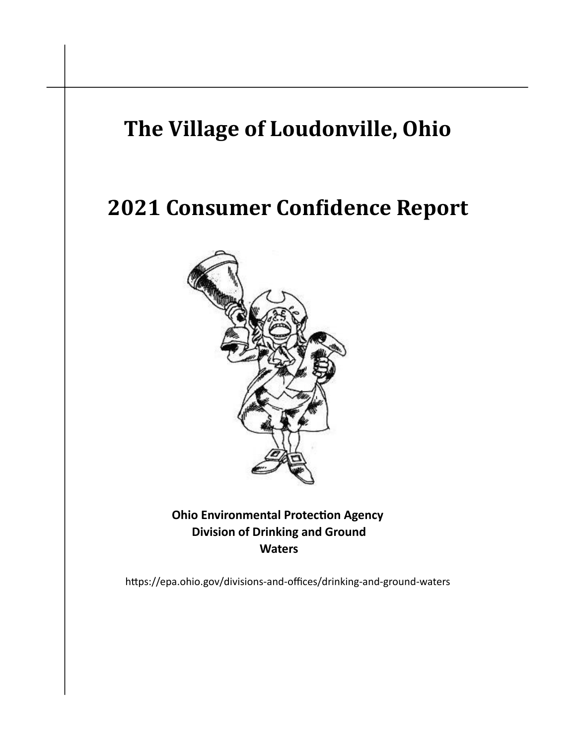# The Village of Loudonville, Ohio

# 2021 Consumer Confidence Report



**Ohio Environmental Protection Agency Division of Drinking and Ground Waters** 

https://epa.ohio.gov/divisions-and-offices/drinking-and-ground-waters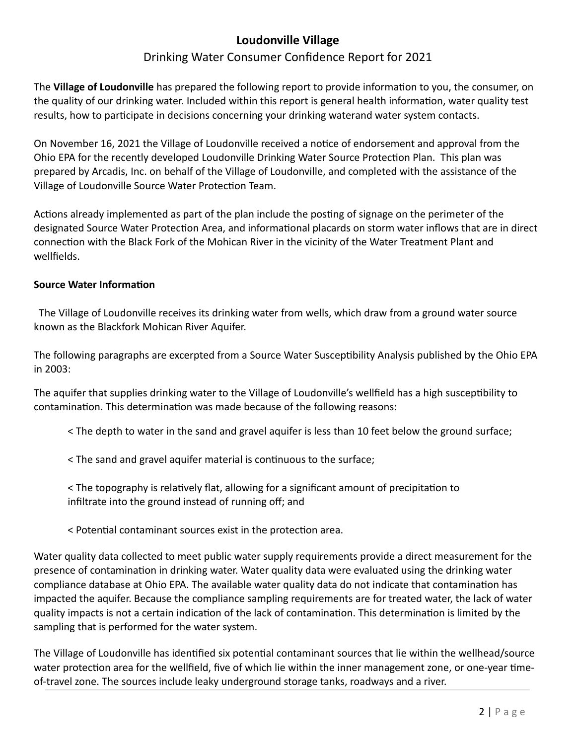# **Loudonville Village**

## Drinking Water Consumer Confidence Report for 2021

The **Village of Loudonville** has prepared the following report to provide information to you, the consumer, on the quality of our drinking water. Included within this report is general health information, water quality test results, how to participate in decisions concerning your drinking waterand water system contacts.

On November 16, 2021 the Village of Loudonville received a notice of endorsement and approval from the Ohio EPA for the recently developed Loudonville Drinking Water Source Protection Plan. This plan was prepared by Arcadis, Inc. on behalf of the Village of Loudonville, and completed with the assistance of the Village of Loudonville Source Water Protection Team.

Actions already implemented as part of the plan include the posting of signage on the perimeter of the designated Source Water Protection Area, and informational placards on storm water inflows that are in direct connection with the Black Fork of the Mohican River in the vicinity of the Water Treatment Plant and wellfields.

#### **Source Water Information**

 The Village of Loudonville receives its drinking water from wells, which draw from a ground water source known as the Blackfork Mohican River Aquifer.

The following paragraphs are excerpted from a Source Water Susceptibility Analysis published by the Ohio EPA in 2003:

The aquifer that supplies drinking water to the Village of Loudonville's wellfield has a high susceptibility to contamination. This determination was made because of the following reasons:

< The depth to water in the sand and gravel aquifer is less than 10 feet below the ground surface;

 $\le$  The sand and gravel aquifer material is continuous to the surface;

< The topography is relatively flat, allowing for a significant amount of precipitation to infiltrate into the ground instead of running off; and

< Potential contaminant sources exist in the protection area.

Water quality data collected to meet public water supply requirements provide a direct measurement for the presence of contamination in drinking water. Water quality data were evaluated using the drinking water compliance database at Ohio EPA. The available water quality data do not indicate that contamination has impacted the aquifer. Because the compliance sampling requirements are for treated water, the lack of water quality impacts is not a certain indication of the lack of contamination. This determination is limited by the sampling that is performed for the water system.

The Village of Loudonville has identified six potential contaminant sources that lie within the wellhead/source water protection area for the wellfield, five of which lie within the inner management zone, or one-year timeof-travel zone. The sources include leaky underground storage tanks, roadways and a river.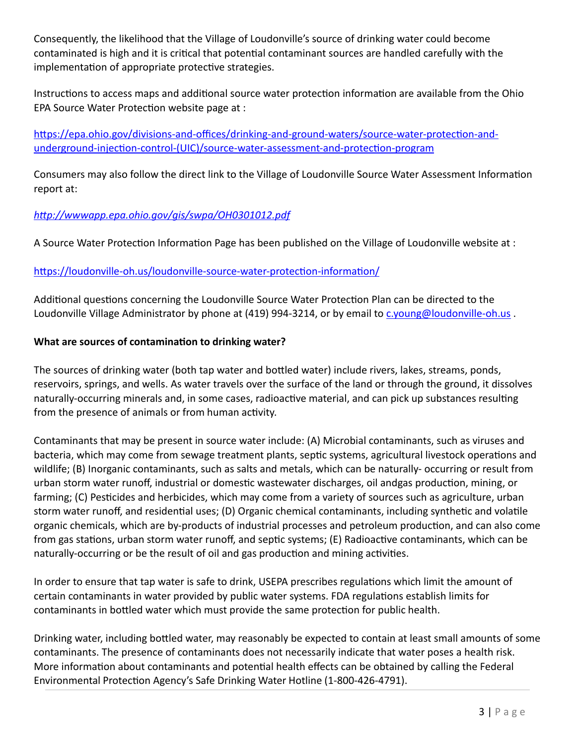Consequently, the likelihood that the Village of Loudonville's source of drinking water could become contaminated is high and it is critical that potential contaminant sources are handled carefully with the implementation of appropriate protective strategies.

Instructions to access maps and additional source water protection information are available from the Ohio EPA Source Water Protection website page at :

https://epa.ohio.gov/divisions-and-offices/drinking-and-ground-waters/source-water-protection-andunderground-injection-control-(UIC)/source-water-assessment-and-protection-program

Consumers may also follow the direct link to the Village of Loudonville Source Water Assessment Information report at:

## *h"p://wwwapp.epa.ohio.gov/gis/swpa/OH0301012.pdf*

A Source Water Protection Information Page has been published on the Village of Loudonville website at :

#### https://loudonville-oh.us/loudonville-source-water-protection-information/

Additional questions concerning the Loudonville Source Water Protection Plan can be directed to the Loudonville Village Administrator by phone at (419) 994-3214, or by email to c.young@loudonville-oh.us.

#### **What** are sources of contamination to drinking water?

The sources of drinking water (both tap water and bottled water) include rivers, lakes, streams, ponds, reservoirs, springs, and wells. As water travels over the surface of the land or through the ground, it dissolves naturally-occurring minerals and, in some cases, radioactive material, and can pick up substances resulting from the presence of animals or from human activity.

Contaminants that may be present in source water include: (A) Microbial contaminants, such as viruses and bacteria, which may come from sewage treatment plants, septic systems, agricultural livestock operations and wildlife; (B) Inorganic contaminants, such as salts and metals, which can be naturally- occurring or result from urban storm water runoff, industrial or domestic wastewater discharges, oil andgas production, mining, or farming; (C) Pesticides and herbicides, which may come from a variety of sources such as agriculture, urban storm water runoff, and residential uses; (D) Organic chemical contaminants, including synthetic and volatile organic chemicals, which are by-products of industrial processes and petroleum production, and can also come from gas stations, urban storm water runoff, and septic systems;  $(E)$  Radioactive contaminants, which can be naturally-occurring or be the result of oil and gas production and mining activities.

In order to ensure that tap water is safe to drink, USEPA prescribes regulations which limit the amount of certain contaminants in water provided by public water systems. FDA regulations establish limits for contaminants in bottled water which must provide the same protection for public health.

Drinking water, including bottled water, may reasonably be expected to contain at least small amounts of some contaminants. The presence of contaminants does not necessarily indicate that water poses a health risk. More information about contaminants and potential health effects can be obtained by calling the Federal Environmental Protection Agency's Safe Drinking Water Hotline (1-800-426-4791).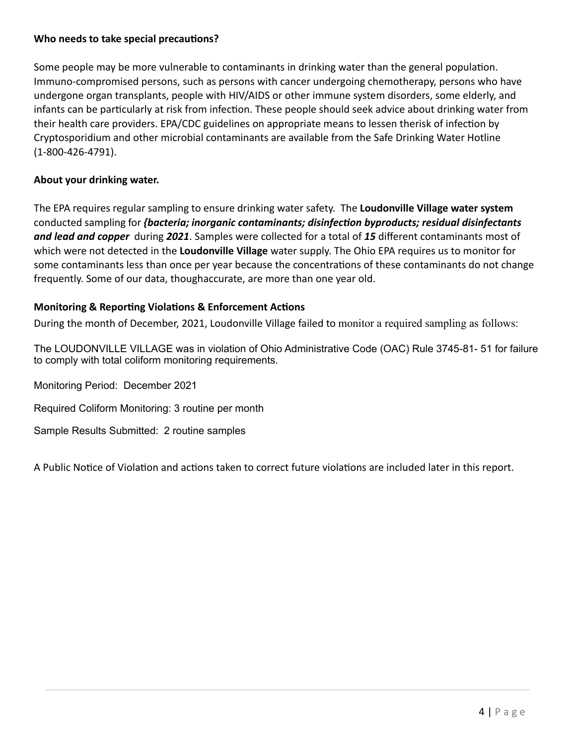#### **Who** needs to take special precautions?

Some people may be more vulnerable to contaminants in drinking water than the general population. Immuno-compromised persons, such as persons with cancer undergoing chemotherapy, persons who have undergone organ transplants, people with HIV/AIDS or other immune system disorders, some elderly, and infants can be particularly at risk from infection. These people should seek advice about drinking water from their health care providers. EPA/CDC guidelines on appropriate means to lessen therisk of infection by Cryptosporidium and other microbial contaminants are available from the Safe Drinking Water Hotline (1-800-426-4791).

#### **About your drinking water.**

The EPA requires regular sampling to ensure drinking water safety. The **Loudonville Village water system** conducted sampling for *{bacteria; inorganic contaminants; disinfection byproducts; residual disinfectants and lead and copper* during *2021*. Samples were collected for a total of *15* different contaminants most of which were not detected in the **Loudonville Village** water supply. The Ohio EPA requires us to monitor for some contaminants less than once per year because the concentrations of these contaminants do not change frequently. Some of our data, thoughaccurate, are more than one year old.

#### **Monitoring & Reporting Violations & Enforcement Actions**

During the month of December, 2021, Loudonville Village failed to monitor a required sampling as follows:

The LOUDONVILLE VILLAGE was in violation of Ohio Administrative Code (OAC) Rule 3745-81- 51 for failure to comply with total coliform monitoring requirements.

Monitoring Period: December 2021

Required Coliform Monitoring: 3 routine per month

Sample Results Submitted: 2 routine samples

A Public Notice of Violation and actions taken to correct future violations are included later in this report.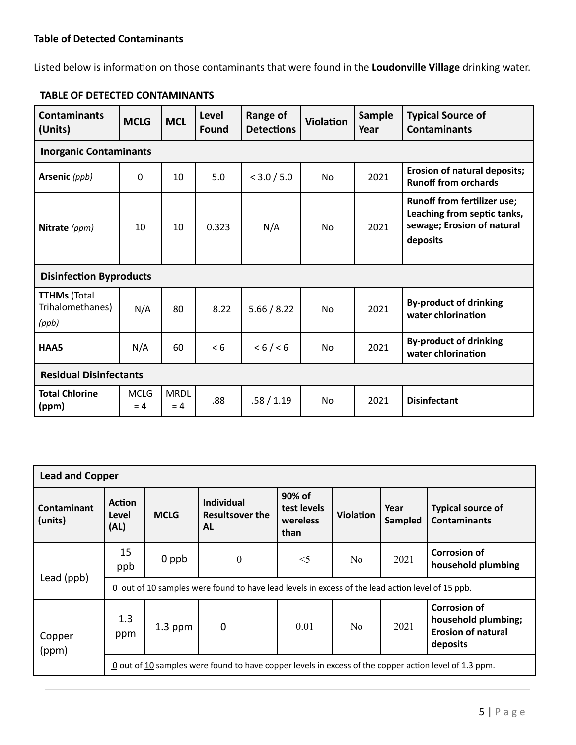Listed below is information on those contaminants that were found in the Loudonville Village drinking water.

| <b>Contaminants</b><br>(Units)                   | <b>MCLG</b>          | <b>MCL</b>           | Level<br>Found | Range of<br><b>Detections</b> | <b>Violation</b> | Sample<br>Year | <b>Typical Source of</b><br><b>Contaminants</b>                                                             |
|--------------------------------------------------|----------------------|----------------------|----------------|-------------------------------|------------------|----------------|-------------------------------------------------------------------------------------------------------------|
| <b>Inorganic Contaminants</b>                    |                      |                      |                |                               |                  |                |                                                                                                             |
| Arsenic (ppb)                                    | 0                    | 10                   | 5.0            | < 3.0 / 5.0                   | <b>No</b>        | 2021           | <b>Erosion of natural deposits;</b><br><b>Runoff from orchards</b>                                          |
| Nitrate (ppm)                                    | 10                   | 10                   | 0.323          | N/A                           | No               | 2021           | <b>Runoff from fertilizer use;</b><br>Leaching from septic tanks,<br>sewage; Erosion of natural<br>deposits |
| <b>Disinfection Byproducts</b>                   |                      |                      |                |                               |                  |                |                                                                                                             |
| <b>TTHMs (Total</b><br>Trihalomethanes)<br>(ppb) | N/A                  | 80                   | 8.22           | 5.66 / 8.22                   | <b>No</b>        | 2021           | <b>By-product of drinking</b><br>water chlorination                                                         |
| HAA5                                             | N/A                  | 60                   | < 6            | < 6 / < 6                     | No               | 2021           | <b>By-product of drinking</b><br>water chlorination                                                         |
| <b>Residual Disinfectants</b>                    |                      |                      |                |                               |                  |                |                                                                                                             |
| <b>Total Chlorine</b><br>(ppm)                   | <b>MCLG</b><br>$= 4$ | <b>MRDL</b><br>$= 4$ | .88            | .58 / 1.19                    | No               | 2021           | <b>Disinfectant</b>                                                                                         |

# **TABLE OF DETECTED CONTAMINANTS**

| <b>Lead and Copper</b>        |                                                                                                              |             |                                                          |                                           |                  |                 |                                                                                     |  |  |
|-------------------------------|--------------------------------------------------------------------------------------------------------------|-------------|----------------------------------------------------------|-------------------------------------------|------------------|-----------------|-------------------------------------------------------------------------------------|--|--|
| <b>Contaminant</b><br>(units) | <b>Action</b><br>Level<br>(AL)                                                                               | <b>MCLG</b> | <b>Individual</b><br><b>Resultsover the</b><br><b>AL</b> | 90% of<br>test levels<br>wereless<br>than | <b>Violation</b> | Year<br>Sampled | <b>Typical source of</b><br><b>Contaminants</b>                                     |  |  |
|                               | 15<br>ppb                                                                                                    | 0 ppb       | $\boldsymbol{0}$                                         | $<$ 5                                     | N <sub>0</sub>   | 2021            | <b>Corrosion of</b><br>household plumbing                                           |  |  |
| Lead (ppb)                    | 0 out of 10 samples were found to have lead levels in excess of the lead action level of 15 ppb.             |             |                                                          |                                           |                  |                 |                                                                                     |  |  |
| Copper<br>(ppm)               | 1.3<br>ppm                                                                                                   | $1.3$ ppm   | 0                                                        | 0.01                                      | N <sub>0</sub>   | 2021            | <b>Corrosion of</b><br>household plumbing;<br><b>Erosion of natural</b><br>deposits |  |  |
|                               | $\Omega$ out of 10 samples were found to have copper levels in excess of the copper action level of 1.3 ppm. |             |                                                          |                                           |                  |                 |                                                                                     |  |  |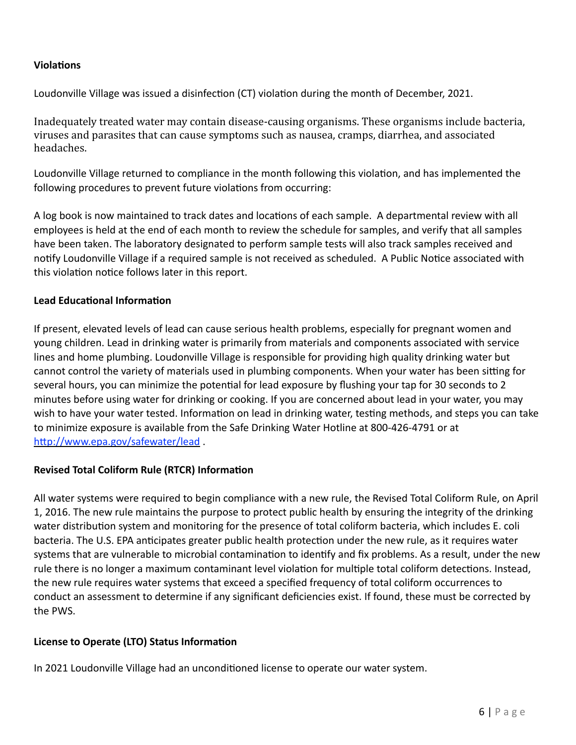#### **Violations**

Loudonville Village was issued a disinfection (CT) violation during the month of December, 2021.

Inadequately treated water may contain disease-causing organisms. These organisms include bacteria, viruses and parasites that can cause symptoms such as nausea, cramps, diarrhea, and associated headaches. 

Loudonville Village returned to compliance in the month following this violation, and has implemented the following procedures to prevent future violations from occurring:

A log book is now maintained to track dates and locations of each sample. A departmental review with all employees is held at the end of each month to review the schedule for samples, and verify that all samples have been taken. The laboratory designated to perform sample tests will also track samples received and notify Loudonville Village if a required sample is not received as scheduled. A Public Notice associated with this violation notice follows later in this report.

#### **Lead Educational Information**

If present, elevated levels of lead can cause serious health problems, especially for pregnant women and young children. Lead in drinking water is primarily from materials and components associated with service lines and home plumbing. Loudonville Village is responsible for providing high quality drinking water but cannot control the variety of materials used in plumbing components. When your water has been sitting for several hours, you can minimize the potential for lead exposure by flushing your tap for 30 seconds to 2 minutes before using water for drinking or cooking. If you are concerned about lead in your water, you may wish to have your water tested. Information on lead in drinking water, testing methods, and steps you can take to minimize exposure is available from the Safe Drinking Water Hotline at 800-426-4791 or at http://www.epa.gov/safewater/lead.

### **Revised Total Coliform Rule (RTCR) Information**

All water systems were required to begin compliance with a new rule, the Revised Total Coliform Rule, on April 1, 2016. The new rule maintains the purpose to protect public health by ensuring the integrity of the drinking water distribution system and monitoring for the presence of total coliform bacteria, which includes E. coli bacteria. The U.S. EPA anticipates greater public health protection under the new rule, as it requires water systems that are vulnerable to microbial contamination to identify and fix problems. As a result, under the new rule there is no longer a maximum contaminant level violation for multiple total coliform detections. Instead, the new rule requires water systems that exceed a specified frequency of total coliform occurrences to conduct an assessment to determine if any significant deficiencies exist. If found, these must be corrected by the PWS.

#### **License to Operate (LTO) Status Information**

In 2021 Loudonville Village had an unconditioned license to operate our water system.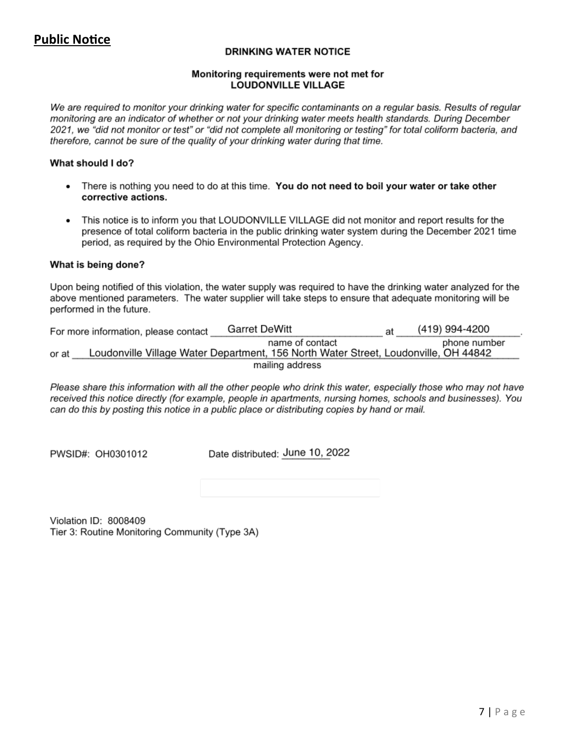# **Public Notice**

#### **DRINKING WATER NOTICE**

#### Monitoring requirements were not met for **LOUDONVILLE VILLAGE**

We are required to monitor your drinking water for specific contaminants on a regular basis. Results of regular monitoring are an indicator of whether or not your drinking water meets health standards. During December 2021, we "did not monitor or test" or "did not complete all monitoring or testing" for total coliform bacteria, and therefore, cannot be sure of the quality of your drinking water during that time.

#### What should I do?

- There is nothing you need to do at this time. You do not need to boil your water or take other corrective actions.
- This notice is to inform you that LOUDONVILLE VILLAGE did not monitor and report results for the  $\bullet$ presence of total coliform bacteria in the public drinking water system during the December 2021 time period, as required by the Ohio Environmental Protection Agency.

#### What is being done?

Upon being notified of this violation, the water supply was required to have the drinking water analyzed for the above mentioned parameters. The water supplier will take steps to ensure that adequate monitoring will be performed in the future.

|       | For more information, please contact | <b>Garret DeWitt</b>                                                                                   | at | (419) 994-4200 |  |
|-------|--------------------------------------|--------------------------------------------------------------------------------------------------------|----|----------------|--|
| or at |                                      | name of contact<br>Loudonville Village Water Department, 156 North Water Street, Loudonville, OH 44842 |    | phone number   |  |
|       |                                      | mailing address                                                                                        |    |                |  |

Please share this information with all the other people who drink this water, especially those who may not have received this notice directly (for example, people in apartments, nursing homes, schools and businesses). You can do this by posting this notice in a public place or distributing copies by hand or mail.

PWSID#: OH0301012

Date distributed: June 10, 2022

Violation ID: 8008409 Tier 3: Routine Monitoring Community (Type 3A)